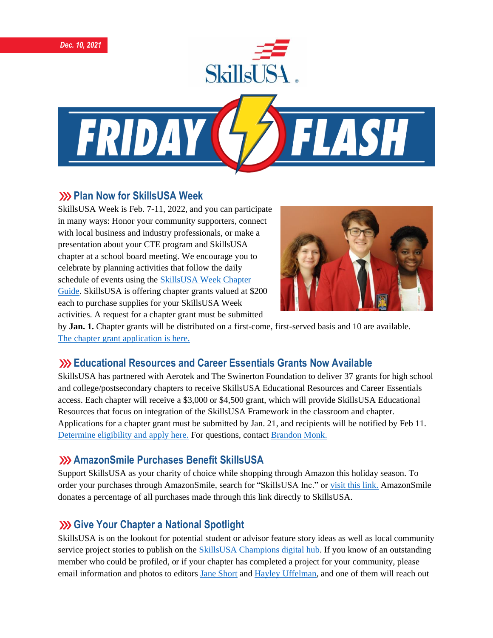





### **222 Plan Now for SkillsUSA Week**

SkillsUSA Week is Feb. 7-11, 2022, and you can participate in many ways: Honor your community supporters, connect with local business and industry professionals, or make a presentation about your CTE program and SkillsUSA chapter at a school board meeting. We encourage you to celebrate by planning activities that follow the daily schedule of events using the [SkillsUSA Week Chapter](https://www.skillsusa.org/events-training/skillsusa-week/)  [Guide.](https://www.skillsusa.org/events-training/skillsusa-week/) SkillsUSA is offering chapter grants valued at \$200 each to purchase supplies for your SkillsUSA Week activities. A request for a chapter grant must be submitted



by **Jan. 1.** Chapter grants will be distributed on a first-come, first-served basis and 10 are available. [The chapter grant application is here.](https://www.skillsusa.org/events-training/skillsusa-week)

# **Educational Resources and Career Essentials Grants Now Available**

SkillsUSA has partnered with Aerotek and The Swinerton Foundation to deliver 37 grants for high school and college/postsecondary chapters to receive SkillsUSA Educational Resources and Career Essentials access. Each chapter will receive a \$3,000 or \$4,500 grant, which will provide SkillsUSA Educational Resources that focus on integration of the SkillsUSA Framework in the classroom and chapter. Applications for a chapter grant must be submitted by Jan. 21, and recipients will be notified by Feb 11. [Determine eligibility and apply here.](https://skillsusa.wufoo.com/forms/q1q5yuqh13tjdpk/) For questions, contact [Brandon Monk.](mailto:bmonk@skillsusa.org)

# **AmazonSmile Purchases Benefit SkillsUSA**

Support SkillsUSA as your charity of choice while shopping through Amazon this holiday season. To order your purchases through AmazonSmile, search for "SkillsUSA Inc." or [visit this link.](https://smile.amazon.com/?_encoding=UTF8&_encoding=UTF8&ref_=smi_chpf_redirect) AmazonSmile donates a percentage of all purchases made through this link directly to SkillsUSA.

# **XXX** Give Your Chapter a National Spotlight

SkillsUSA is on the lookout for potential student or advisor feature story ideas as well as local community service project stories to publish on the [SkillsUSA Champions digital hub.](http://champions.skillsusa.org/) If you know of an outstanding member who could be profiled, or if your chapter has completed a project for your community, please email information and photos to editor[s Jane Short](mailto:jshort@skillsusa.org) and [Hayley Uffelman,](mailto:huffelman@skillsusa.org) and one of them will reach out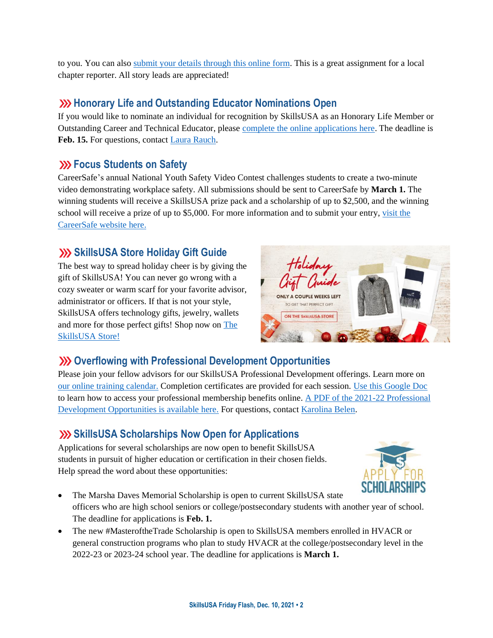to you. You can als[o submit your details through this online form.](https://skillsusachampions.org/submit-a-story/) This is a great assignment for a local chapter reporter. All story leads are appreciated!

## **XXX** Honorary Life and Outstanding Educator Nominations Open

If you would like to nominate an individual for recognition by SkillsUSA as an Honorary Life Member or Outstanding Career and Technical Educator, please complete [the online applications here.](https://www.skillsusa.org/membership-resources/awards/) The deadline is **Feb. 15.** For questions, contact [Laura Rauch.](mailto:lrauch@skillsusa.org)

### **EXAMPLE STANDER STATES STATES STATES STATES STATES**

CareerSafe's annual National Youth Safety Video Contest challenges students to create a two-minute video demonstrating workplace safety. All submissions should be sent to CareerSafe by **March 1.** The winning students will receive a SkillsUSA prize pack and a scholarship of up to \$2,500, and the winning school will receive a prize of up to \$5,000. For more information and to submit your entry[, visit the](https://www.careersafeonline.com/scholarships/video-contest)  [CareerSafe website here.](https://www.careersafeonline.com/scholarships/video-contest)

# **SkillsUSA Store Holiday Gift Guide**

The best way to spread holiday cheer is by giving the gift of SkillsUSA! You can never go wrong with a cozy sweater or warm scarf for your favorite advisor, administrator or officers. If that is not your style, SkillsUSA offers technology gifts, jewelry, wallets and more for those perfect gifts! Shop now on [The](https://skillsusastore.mybrightsites.com/products/716995)  [SkillsUSA Store!](https://skillsusastore.mybrightsites.com/products/716995)



# **Overflowing with Professional Development Opportunities**

Please join your fellow advisors for our SkillsUSA Professional Development offerings. Learn more on [our online training calendar.](https://www.skillsusa.org/events-training/) Completion certificates are provided for each session. [Use this Google Doc](https://docs.google.com/document/d/1d2EvwsmdelNzm-WK7pTGSokJTbWZXcFDOODai32SGzk/edit) to learn how to access your professional membership benefits online. [A PDF of the 2021-22 Professional](https://www.skillsusa.org/wp-content/uploads/2021/09/SkillsUSA-2021-Professional-Development-Opportunities-v9.pdf)  [Development Opportunities is available here.](https://www.skillsusa.org/wp-content/uploads/2021/09/SkillsUSA-2021-Professional-Development-Opportunities-v9.pdf) For questions, contact [Karolina Belen.](mailto:kbelen@skillsusa.org)

# **SkillsUSA Scholarships Now Open for Applications**

Applications for several scholarships are now open to benefit SkillsUSA students in pursuit of higher education or certification in their chosen fields. Help spread the word about these opportunities:



- The Marsha Daves Memorial Scholarship is open to current SkillsUSA state officers who are high school seniors or college/postsecondary students with another year of school. The deadline for applications is **Feb. 1.**
- The new #MasteroftheTrade Scholarship is open to SkillsUSA members enrolled in HVACR or general construction programs who plan to study HVACR at the college/postsecondary level in the 2022-23 or 2023-24 school year. The deadline for applications is **March 1.**